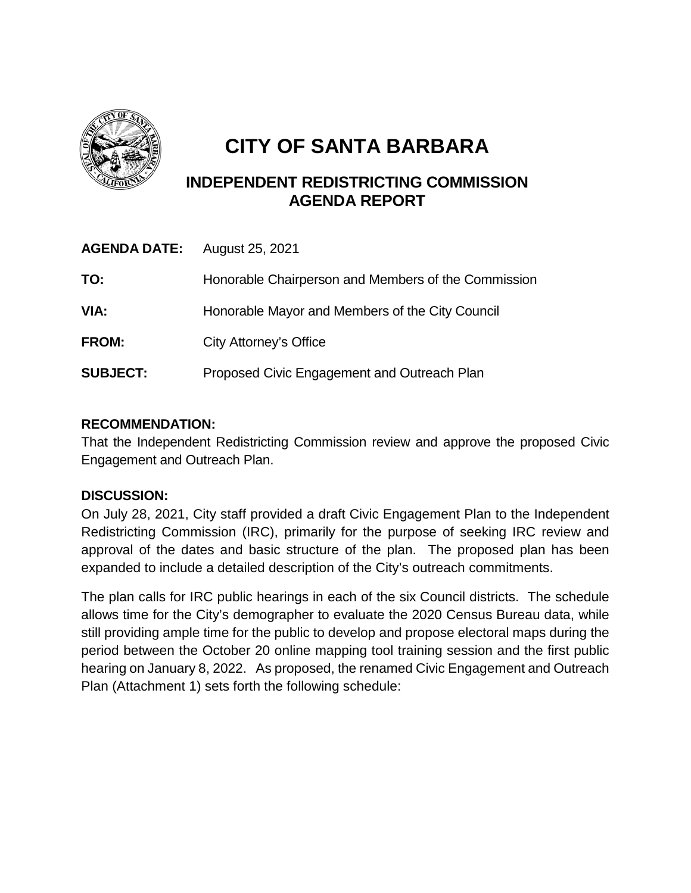

## **CITY OF SANTA BARBARA**

## **INDEPENDENT REDISTRICTING COMMISSION AGENDA REPORT**

| <b>AGENDA DATE:</b> | August 25, 2021                                     |
|---------------------|-----------------------------------------------------|
| TO:                 | Honorable Chairperson and Members of the Commission |
| VIA:                | Honorable Mayor and Members of the City Council     |
| FROM:               | City Attorney's Office                              |
| <b>SUBJECT:</b>     | Proposed Civic Engagement and Outreach Plan         |

## **RECOMMENDATION:**

That the Independent Redistricting Commission review and approve the proposed Civic Engagement and Outreach Plan.

## **DISCUSSION:**

On July 28, 2021, City staff provided a draft Civic Engagement Plan to the Independent Redistricting Commission (IRC), primarily for the purpose of seeking IRC review and approval of the dates and basic structure of the plan. The proposed plan has been expanded to include a detailed description of the City's outreach commitments.

The plan calls for IRC public hearings in each of the six Council districts. The schedule allows time for the City's demographer to evaluate the 2020 Census Bureau data, while still providing ample time for the public to develop and propose electoral maps during the period between the October 20 online mapping tool training session and the first public hearing on January 8, 2022. As proposed, the renamed Civic Engagement and Outreach Plan (Attachment 1) sets forth the following schedule: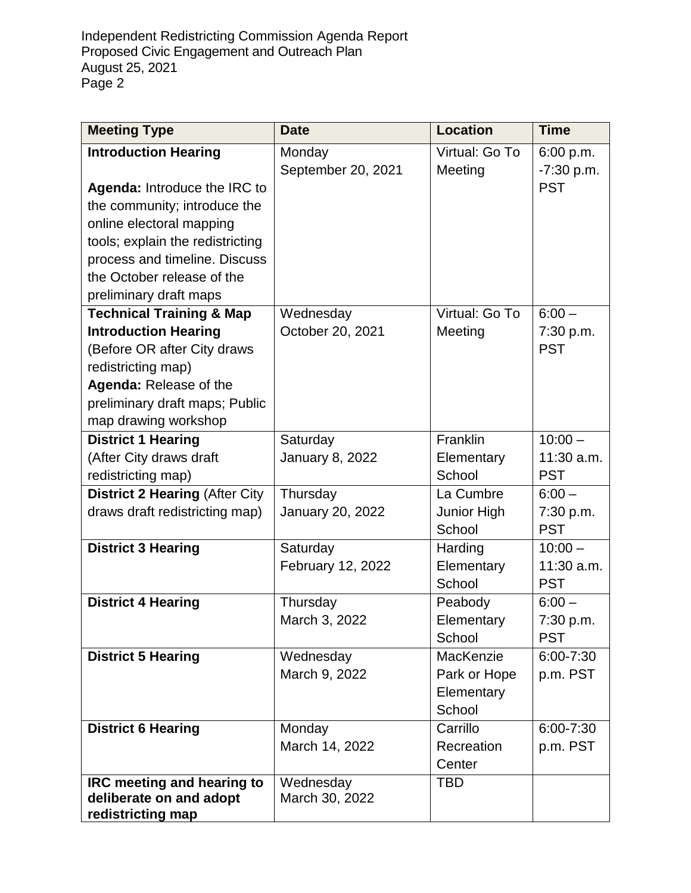Independent Redistricting Commission Agenda Report Proposed Civic Engagement and Outreach Plan August 25, 2021 Page 2

| <b>Meeting Type</b>                   | <b>Date</b>                  | <b>Location</b>           | <b>Time</b>             |
|---------------------------------------|------------------------------|---------------------------|-------------------------|
| <b>Introduction Hearing</b>           | Monday<br>September 20, 2021 | Virtual: Go To<br>Meeting | 6:00 p.m.<br>-7:30 p.m. |
| Agenda: Introduce the IRC to          |                              |                           | <b>PST</b>              |
| the community; introduce the          |                              |                           |                         |
| online electoral mapping              |                              |                           |                         |
| tools; explain the redistricting      |                              |                           |                         |
| process and timeline. Discuss         |                              |                           |                         |
| the October release of the            |                              |                           |                         |
| preliminary draft maps                |                              |                           |                         |
| <b>Technical Training &amp; Map</b>   | Wednesday                    | Virtual: Go To            | $6:00 -$                |
| <b>Introduction Hearing</b>           | October 20, 2021             | Meeting                   | 7:30 p.m.               |
| (Before OR after City draws           |                              |                           | <b>PST</b>              |
| redistricting map)                    |                              |                           |                         |
| Agenda: Release of the                |                              |                           |                         |
| preliminary draft maps; Public        |                              |                           |                         |
| map drawing workshop                  |                              |                           |                         |
| <b>District 1 Hearing</b>             | Saturday                     | Franklin                  | $10:00 -$               |
| (After City draws draft               | <b>January 8, 2022</b>       | Elementary<br>School      | 11:30 a.m.              |
| redistricting map)                    |                              |                           | <b>PST</b><br>$6:00 -$  |
| <b>District 2 Hearing (After City</b> | Thursday                     | La Cumbre                 |                         |
| draws draft redistricting map)        | January 20, 2022             | Junior High<br>School     | 7:30 p.m.<br><b>PST</b> |
| <b>District 3 Hearing</b>             | Saturday                     | Harding                   | $10:00 -$               |
|                                       | February 12, 2022            | Elementary                | 11:30 a.m.              |
|                                       |                              | School                    | <b>PST</b>              |
| <b>District 4 Hearing</b>             | Thursday                     | Peabody                   | $6:00 -$                |
|                                       | March 3, 2022                | Elementary                | 7:30 p.m.               |
|                                       |                              | School                    | <b>PST</b>              |
| <b>District 5 Hearing</b>             | Wednesday                    | MacKenzie                 | 6:00-7:30               |
|                                       | March 9, 2022                | Park or Hope              | p.m. PST                |
|                                       |                              | Elementary                |                         |
|                                       |                              | School                    |                         |
| <b>District 6 Hearing</b>             | Monday                       | Carrillo                  | 6:00-7:30               |
|                                       | March 14, 2022               | Recreation                | p.m. PST                |
|                                       |                              | Center                    |                         |
| IRC meeting and hearing to            | Wednesday                    | <b>TBD</b>                |                         |
| deliberate on and adopt               | March 30, 2022               |                           |                         |
| redistricting map                     |                              |                           |                         |